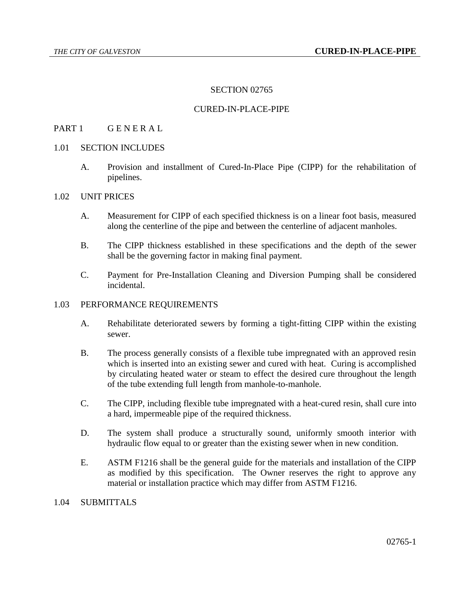### SECTION 02765

### CURED-IN-PLACE-PIPE

### PART 1 GENERAL

- 1.01 SECTION INCLUDES
	- A. Provision and installment of Cured-In-Place Pipe (CIPP) for the rehabilitation of pipelines.

#### 1.02 UNIT PRICES

- A. Measurement for CIPP of each specified thickness is on a linear foot basis, measured along the centerline of the pipe and between the centerline of adjacent manholes.
- B. The CIPP thickness established in these specifications and the depth of the sewer shall be the governing factor in making final payment.
- C. Payment for Pre-Installation Cleaning and Diversion Pumping shall be considered incidental.

#### 1.03 PERFORMANCE REQUIREMENTS

- A. Rehabilitate deteriorated sewers by forming a tight-fitting CIPP within the existing sewer.
- B. The process generally consists of a flexible tube impregnated with an approved resin which is inserted into an existing sewer and cured with heat. Curing is accomplished by circulating heated water or steam to effect the desired cure throughout the length of the tube extending full length from manhole-to-manhole.
- C. The CIPP, including flexible tube impregnated with a heat-cured resin, shall cure into a hard, impermeable pipe of the required thickness.
- D. The system shall produce a structurally sound, uniformly smooth interior with hydraulic flow equal to or greater than the existing sewer when in new condition.
- E. ASTM F1216 shall be the general guide for the materials and installation of the CIPP as modified by this specification. The Owner reserves the right to approve any material or installation practice which may differ from ASTM F1216.

#### 1.04 SUBMITTALS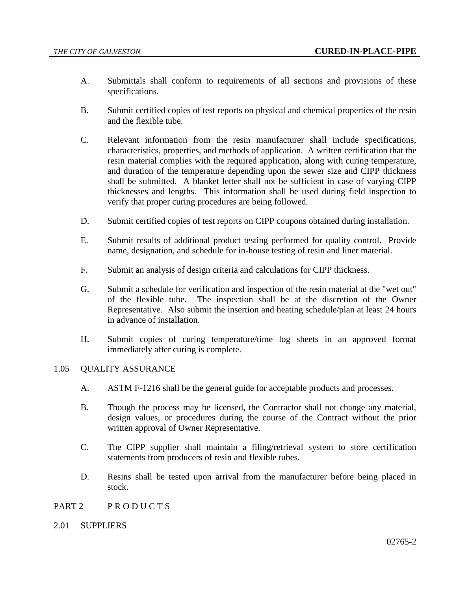- A. Submittals shall conform to requirements of all sections and provisions of these specifications.
- B. Submit certified copies of test reports on physical and chemical properties of the resin and the flexible tube.
- C. Relevant information from the resin manufacturer shall include specifications, characteristics, properties, and methods of application. A written certification that the resin material complies with the required application, along with curing temperature, and duration of the temperature depending upon the sewer size and CIPP thickness shall be submitted. A blanket letter shall not be sufficient in case of varying CIPP thicknesses and lengths. This information shall be used during field inspection to verify that proper curing procedures are being followed.
- D. Submit certified copies of test reports on CIPP coupons obtained during installation.
- E. Submit results of additional product testing performed for quality control. Provide name, designation, and schedule for in-house testing of resin and liner material.
- F. Submit an analysis of design criteria and calculations for CIPP thickness.
- G. Submit a schedule for verification and inspection of the resin material at the "wet out" of the flexible tube. The inspection shall be at the discretion of the Owner Representative. Also submit the insertion and heating schedule/plan at least 24 hours in advance of installation.
- H. Submit copies of curing temperature/time log sheets in an approved format immediately after curing is complete.

#### 1.05 QUALITY ASSURANCE

- A. ASTM F-1216 shall be the general guide for acceptable products and processes.
- B. Though the process may be licensed, the Contractor shall not change any material, design values, or procedures during the course of the Contract without the prior written approval of Owner Representative.
- C. The CIPP supplier shall maintain a filing/retrieval system to store certification statements from producers of resin and flexible tubes.
- D. Resins shall be tested upon arrival from the manufacturer before being placed in stock.
- PART 2 PRODUCTS
- 2.01 SUPPLIERS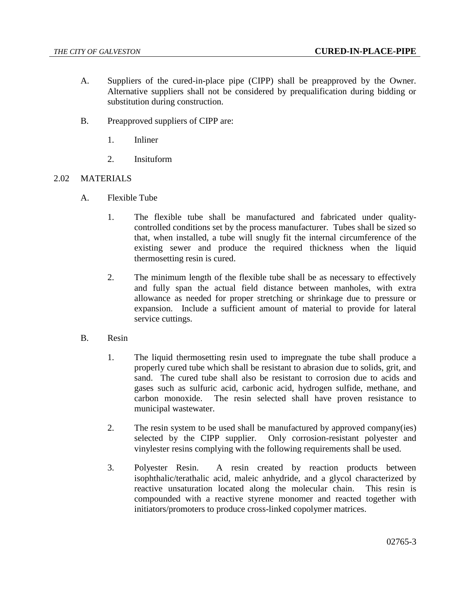- A. Suppliers of the cured-in-place pipe (CIPP) shall be preapproved by the Owner. Alternative suppliers shall not be considered by prequalification during bidding or substitution during construction.
- B. Preapproved suppliers of CIPP are:
	- 1. Inliner
	- 2. Insituform

## 2.02 MATERIALS

- A. Flexible Tube
	- 1. The flexible tube shall be manufactured and fabricated under qualitycontrolled conditions set by the process manufacturer. Tubes shall be sized so that, when installed, a tube will snugly fit the internal circumference of the existing sewer and produce the required thickness when the liquid thermosetting resin is cured.
	- 2. The minimum length of the flexible tube shall be as necessary to effectively and fully span the actual field distance between manholes, with extra allowance as needed for proper stretching or shrinkage due to pressure or expansion. Include a sufficient amount of material to provide for lateral service cuttings.
- B. Resin
	- 1. The liquid thermosetting resin used to impregnate the tube shall produce a properly cured tube which shall be resistant to abrasion due to solids, grit, and sand. The cured tube shall also be resistant to corrosion due to acids and gases such as sulfuric acid, carbonic acid, hydrogen sulfide, methane, and carbon monoxide. The resin selected shall have proven resistance to municipal wastewater.
	- 2. The resin system to be used shall be manufactured by approved company(ies) selected by the CIPP supplier. Only corrosion-resistant polyester and vinylester resins complying with the following requirements shall be used.
	- 3. Polyester Resin. A resin created by reaction products between isophthalic/terathalic acid, maleic anhydride, and a glycol characterized by reactive unsaturation located along the molecular chain. This resin is compounded with a reactive styrene monomer and reacted together with initiators/promoters to produce cross-linked copolymer matrices.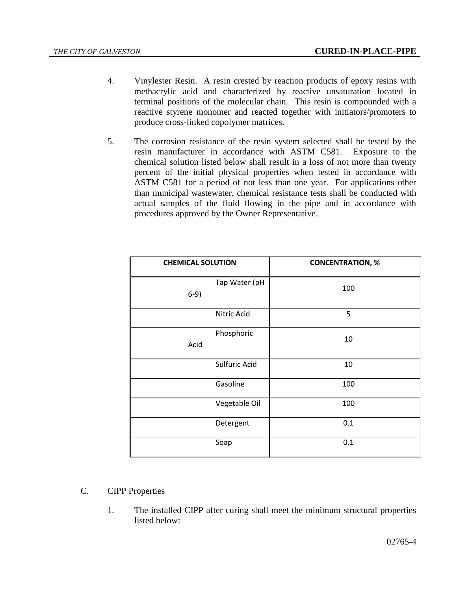- 4. Vinylester Resin. A resin crested by reaction products of epoxy resins with methacrylic acid and characterized by reactive unsaturation located in terminal positions of the molecular chain. This resin is compounded with a reactive styrene monomer and reacted together with initiators/promoters to produce cross-linked copolymer matrices.
- 5. The corrosion resistance of the resin system selected shall be tested by the resin manufacturer in accordance with ASTM C581. Exposure to the chemical solution listed below shall result in a loss of not more than twenty percent of the initial physical properties when tested in accordance with ASTM C581 for a period of not less than one year. For applications other than municipal wastewater, chemical resistance tests shall be conducted with actual samples of the fluid flowing in the pipe and in accordance with procedures approved by the Owner Representative.

| <b>CHEMICAL SOLUTION</b> | <b>CONCENTRATION, %</b> |  |
|--------------------------|-------------------------|--|
| Tap Water (pH<br>$6-9)$  | 100                     |  |
| Nitric Acid              | 5                       |  |
| Phosphoric<br>Acid       | 10                      |  |
| Sulfuric Acid            | 10                      |  |
| Gasoline                 | 100                     |  |
| Vegetable Oil            | 100                     |  |
| Detergent                | 0.1                     |  |
| Soap                     | 0.1                     |  |

- C. CIPP Properties
	- 1. The installed CIPP after curing shall meet the minimum structural properties listed below: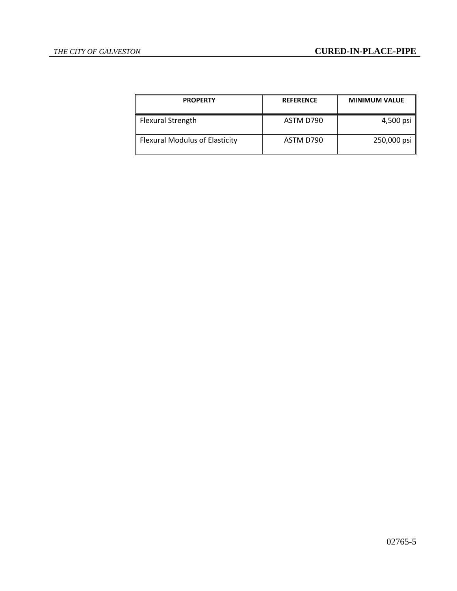| <b>PROPERTY</b>                | <b>REFERENCE</b> | <b>MINIMUM VALUE</b> |
|--------------------------------|------------------|----------------------|
| Flexural Strength              | ASTM D790        | 4,500 psi            |
| Flexural Modulus of Elasticity | ASTM D790        | 250,000 psi          |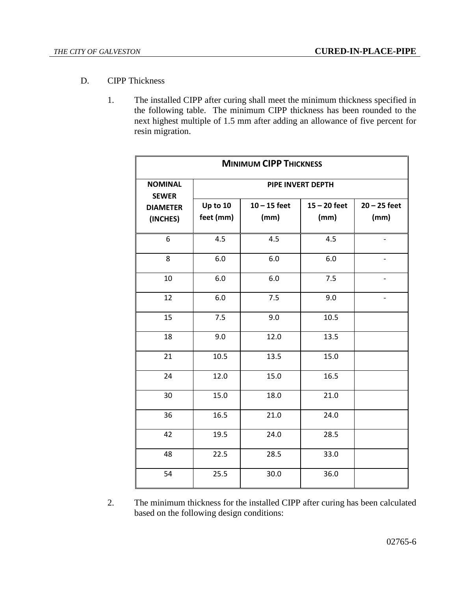- D. CIPP Thickness
	- 1. The installed CIPP after curing shall meet the minimum thickness specified in the following table. The minimum CIPP thickness has been rounded to the next highest multiple of 1.5 mm after adding an allowance of five percent for resin migration.

| <b>MINIMUM CIPP THICKNESS</b>  |                       |                        |                        |                        |  |
|--------------------------------|-----------------------|------------------------|------------------------|------------------------|--|
| <b>NOMINAL</b><br><b>SEWER</b> | PIPE INVERT DEPTH     |                        |                        |                        |  |
| <b>DIAMETER</b><br>(INCHES)    | Up to 10<br>feet (mm) | $10 - 15$ feet<br>(mm) | $15 - 20$ feet<br>(mm) | $20 - 25$ feet<br>(mm) |  |
| 6                              | 4.5                   | 4.5                    | 4.5                    |                        |  |
| 8                              | 6.0                   | 6.0                    | 6.0                    |                        |  |
| 10                             | 6.0                   | 6.0                    | 7.5                    |                        |  |
| 12                             | 6.0                   | 7.5                    | 9.0                    |                        |  |
| 15                             | 7.5                   | 9.0                    | 10.5                   |                        |  |
| 18                             | 9.0                   | 12.0                   | 13.5                   |                        |  |
| 21                             | 10.5                  | 13.5                   | 15.0                   |                        |  |
| 24                             | 12.0                  | 15.0                   | 16.5                   |                        |  |
| 30                             | 15.0                  | 18.0                   | 21.0                   |                        |  |
| 36                             | 16.5                  | 21.0                   | 24.0                   |                        |  |
| 42                             | 19.5                  | 24.0                   | 28.5                   |                        |  |
| 48                             | 22.5                  | 28.5                   | 33.0                   |                        |  |
| 54                             | 25.5                  | 30.0                   | 36.0                   |                        |  |

2. The minimum thickness for the installed CIPP after curing has been calculated based on the following design conditions: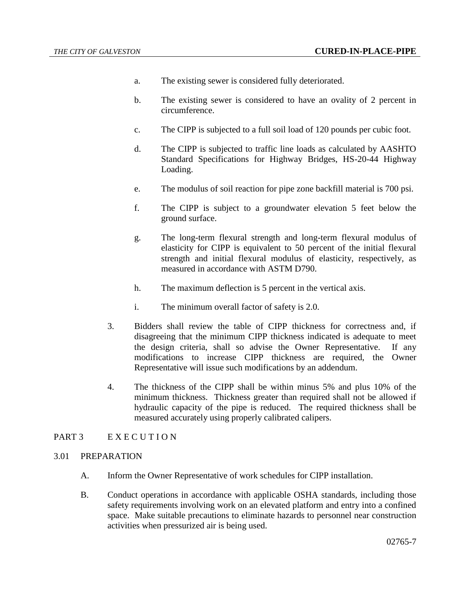- a. The existing sewer is considered fully deteriorated.
- b. The existing sewer is considered to have an ovality of 2 percent in circumference.
- c. The CIPP is subjected to a full soil load of 120 pounds per cubic foot.
- d. The CIPP is subjected to traffic line loads as calculated by AASHTO Standard Specifications for Highway Bridges, HS-20-44 Highway Loading.
- e. The modulus of soil reaction for pipe zone backfill material is 700 psi.
- f. The CIPP is subject to a groundwater elevation 5 feet below the ground surface.
- g. The long-term flexural strength and long-term flexural modulus of elasticity for CIPP is equivalent to 50 percent of the initial flexural strength and initial flexural modulus of elasticity, respectively, as measured in accordance with ASTM D790.
- h. The maximum deflection is 5 percent in the vertical axis.
- i. The minimum overall factor of safety is 2.0.
- 3. Bidders shall review the table of CIPP thickness for correctness and, if disagreeing that the minimum CIPP thickness indicated is adequate to meet the design criteria, shall so advise the Owner Representative. If any modifications to increase CIPP thickness are required, the Owner Representative will issue such modifications by an addendum.
- 4. The thickness of the CIPP shall be within minus 5% and plus 10% of the minimum thickness. Thickness greater than required shall not be allowed if hydraulic capacity of the pipe is reduced. The required thickness shall be measured accurately using properly calibrated calipers.

## PART 3 E X E C U T I O N

- 3.01 PREPARATION
	- A. Inform the Owner Representative of work schedules for CIPP installation.
	- B. Conduct operations in accordance with applicable OSHA standards, including those safety requirements involving work on an elevated platform and entry into a confined space. Make suitable precautions to eliminate hazards to personnel near construction activities when pressurized air is being used.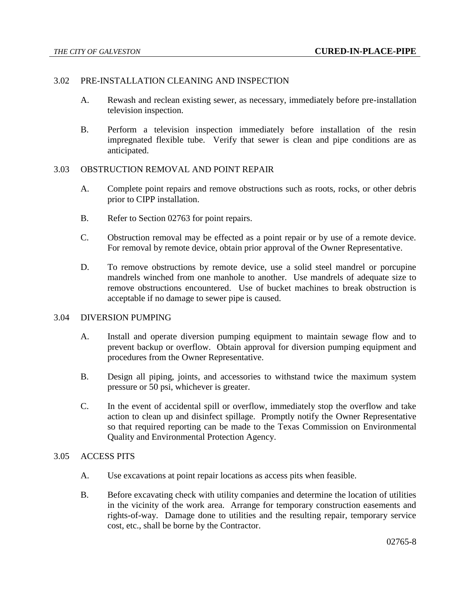### 3.02 PRE-INSTALLATION CLEANING AND INSPECTION

- A. Rewash and reclean existing sewer, as necessary, immediately before pre-installation television inspection.
- B. Perform a television inspection immediately before installation of the resin impregnated flexible tube. Verify that sewer is clean and pipe conditions are as anticipated.

#### 3.03 OBSTRUCTION REMOVAL AND POINT REPAIR

- A. Complete point repairs and remove obstructions such as roots, rocks, or other debris prior to CIPP installation.
- B. Refer to Section 02763 for point repairs.
- C. Obstruction removal may be effected as a point repair or by use of a remote device. For removal by remote device, obtain prior approval of the Owner Representative.
- D. To remove obstructions by remote device, use a solid steel mandrel or porcupine mandrels winched from one manhole to another. Use mandrels of adequate size to remove obstructions encountered. Use of bucket machines to break obstruction is acceptable if no damage to sewer pipe is caused.

### 3.04 DIVERSION PUMPING

- A. Install and operate diversion pumping equipment to maintain sewage flow and to prevent backup or overflow. Obtain approval for diversion pumping equipment and procedures from the Owner Representative.
- B. Design all piping, joints, and accessories to withstand twice the maximum system pressure or 50 psi, whichever is greater.
- C. In the event of accidental spill or overflow, immediately stop the overflow and take action to clean up and disinfect spillage. Promptly notify the Owner Representative so that required reporting can be made to the Texas Commission on Environmental Quality and Environmental Protection Agency.

#### 3.05 ACCESS PITS

- A. Use excavations at point repair locations as access pits when feasible.
- B. Before excavating check with utility companies and determine the location of utilities in the vicinity of the work area. Arrange for temporary construction easements and rights-of-way. Damage done to utilities and the resulting repair, temporary service cost, etc., shall be borne by the Contractor.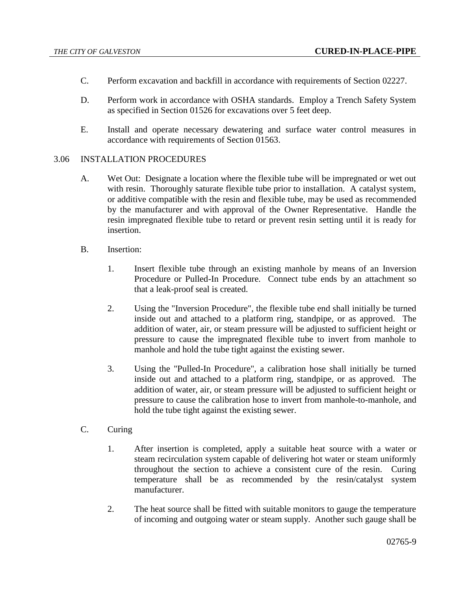- C. Perform excavation and backfill in accordance with requirements of Section 02227.
- D. Perform work in accordance with OSHA standards. Employ a Trench Safety System as specified in Section 01526 for excavations over 5 feet deep.
- E. Install and operate necessary dewatering and surface water control measures in accordance with requirements of Section 01563.

### 3.06 INSTALLATION PROCEDURES

- A. Wet Out: Designate a location where the flexible tube will be impregnated or wet out with resin. Thoroughly saturate flexible tube prior to installation. A catalyst system, or additive compatible with the resin and flexible tube, may be used as recommended by the manufacturer and with approval of the Owner Representative. Handle the resin impregnated flexible tube to retard or prevent resin setting until it is ready for insertion.
- B. Insertion:
	- 1. Insert flexible tube through an existing manhole by means of an Inversion Procedure or Pulled-In Procedure. Connect tube ends by an attachment so that a leak-proof seal is created.
	- 2. Using the "Inversion Procedure", the flexible tube end shall initially be turned inside out and attached to a platform ring, standpipe, or as approved. The addition of water, air, or steam pressure will be adjusted to sufficient height or pressure to cause the impregnated flexible tube to invert from manhole to manhole and hold the tube tight against the existing sewer.
	- 3. Using the "Pulled-In Procedure", a calibration hose shall initially be turned inside out and attached to a platform ring, standpipe, or as approved. The addition of water, air, or steam pressure will be adjusted to sufficient height or pressure to cause the calibration hose to invert from manhole-to-manhole, and hold the tube tight against the existing sewer.
- C. Curing
	- 1. After insertion is completed, apply a suitable heat source with a water or steam recirculation system capable of delivering hot water or steam uniformly throughout the section to achieve a consistent cure of the resin. Curing temperature shall be as recommended by the resin/catalyst system manufacturer.
	- 2. The heat source shall be fitted with suitable monitors to gauge the temperature of incoming and outgoing water or steam supply. Another such gauge shall be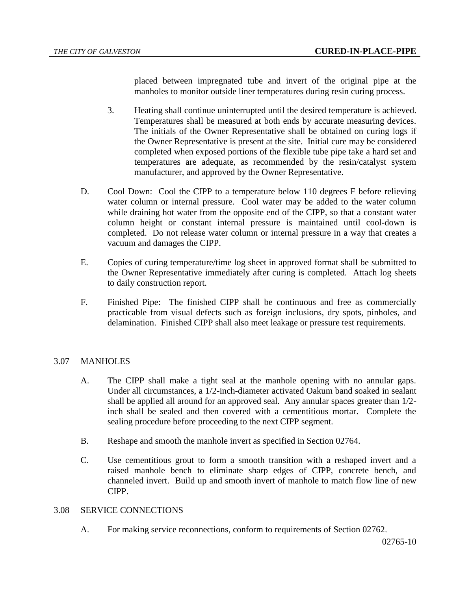placed between impregnated tube and invert of the original pipe at the manholes to monitor outside liner temperatures during resin curing process.

- 3. Heating shall continue uninterrupted until the desired temperature is achieved. Temperatures shall be measured at both ends by accurate measuring devices. The initials of the Owner Representative shall be obtained on curing logs if the Owner Representative is present at the site. Initial cure may be considered completed when exposed portions of the flexible tube pipe take a hard set and temperatures are adequate, as recommended by the resin/catalyst system manufacturer, and approved by the Owner Representative.
- D. Cool Down: Cool the CIPP to a temperature below 110 degrees F before relieving water column or internal pressure. Cool water may be added to the water column while draining hot water from the opposite end of the CIPP, so that a constant water column height or constant internal pressure is maintained until cool-down is completed. Do not release water column or internal pressure in a way that creates a vacuum and damages the CIPP.
- E. Copies of curing temperature/time log sheet in approved format shall be submitted to the Owner Representative immediately after curing is completed. Attach log sheets to daily construction report.
- F. Finished Pipe: The finished CIPP shall be continuous and free as commercially practicable from visual defects such as foreign inclusions, dry spots, pinholes, and delamination. Finished CIPP shall also meet leakage or pressure test requirements.

## 3.07 MANHOLES

- A. The CIPP shall make a tight seal at the manhole opening with no annular gaps. Under all circumstances, a 1/2-inch-diameter activated Oakum band soaked in sealant shall be applied all around for an approved seal. Any annular spaces greater than 1/2 inch shall be sealed and then covered with a cementitious mortar. Complete the sealing procedure before proceeding to the next CIPP segment.
- B. Reshape and smooth the manhole invert as specified in Section 02764.
- C. Use cementitious grout to form a smooth transition with a reshaped invert and a raised manhole bench to eliminate sharp edges of CIPP, concrete bench, and channeled invert. Build up and smooth invert of manhole to match flow line of new CIPP.

## 3.08 SERVICE CONNECTIONS

A. For making service reconnections, conform to requirements of Section 02762.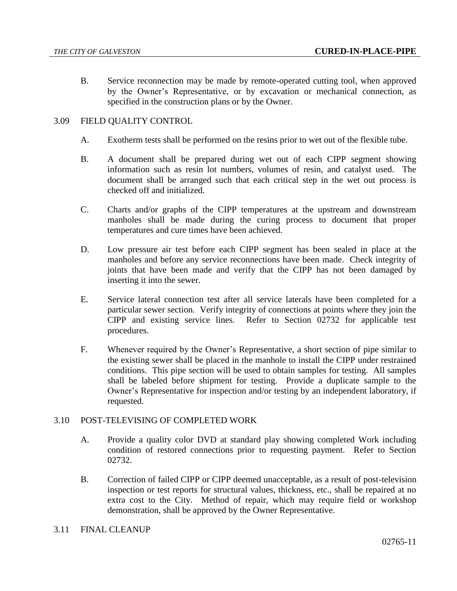B. Service reconnection may be made by remote-operated cutting tool, when approved by the Owner's Representative, or by excavation or mechanical connection, as specified in the construction plans or by the Owner.

# 3.09 FIELD QUALITY CONTROL

- A. Exotherm tests shall be performed on the resins prior to wet out of the flexible tube.
- B. A document shall be prepared during wet out of each CIPP segment showing information such as resin lot numbers, volumes of resin, and catalyst used. The document shall be arranged such that each critical step in the wet out process is checked off and initialized.
- C. Charts and/or graphs of the CIPP temperatures at the upstream and downstream manholes shall be made during the curing process to document that proper temperatures and cure times have been achieved.
- D. Low pressure air test before each CIPP segment has been sealed in place at the manholes and before any service reconnections have been made. Check integrity of joints that have been made and verify that the CIPP has not been damaged by inserting it into the sewer.
- E. Service lateral connection test after all service laterals have been completed for a particular sewer section. Verify integrity of connections at points where they join the CIPP and existing service lines. Refer to Section 02732 for applicable test procedures.
- F. Whenever required by the Owner's Representative, a short section of pipe similar to the existing sewer shall be placed in the manhole to install the CIPP under restrained conditions. This pipe section will be used to obtain samples for testing. All samples shall be labeled before shipment for testing. Provide a duplicate sample to the Owner's Representative for inspection and/or testing by an independent laboratory, if requested.

## 3.10 POST-TELEVISING OF COMPLETED WORK

- A. Provide a quality color DVD at standard play showing completed Work including condition of restored connections prior to requesting payment. Refer to Section 02732.
- B. Correction of failed CIPP or CIPP deemed unacceptable, as a result of post-television inspection or test reports for structural values, thickness, etc., shall be repaired at no extra cost to the City. Method of repair, which may require field or workshop demonstration, shall be approved by the Owner Representative.

## 3.11 FINAL CLEANUP